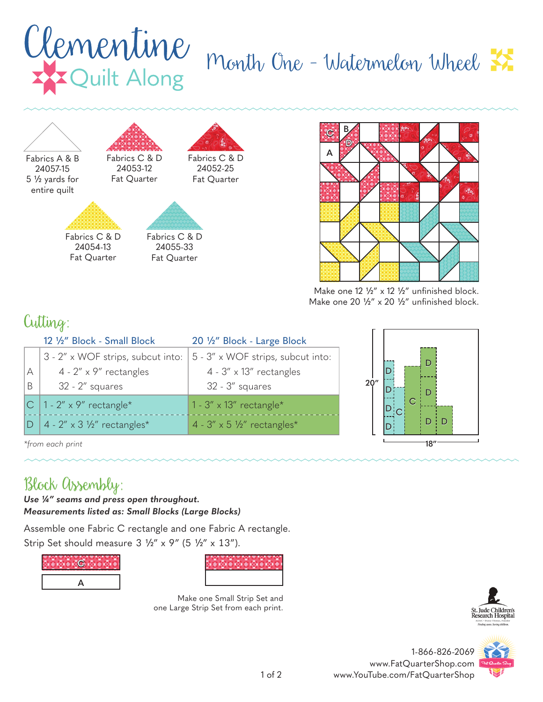## Clementine month One - Watermelon Wheel  $\frac{1}{N}$





Make one  $12 \frac{1}{2}$ " x  $12 \frac{1}{2}$ " unfinished block. Make one 20  $\frac{1}{2}$ " x 20  $\frac{1}{2}$ " unfinished block.

## Cutting:

|                  | 12 1/2" Block - Small Block                | 20 1/2" Block - Large Block         |     |    |
|------------------|--------------------------------------------|-------------------------------------|-----|----|
|                  | 3 - 2" x WOF strips, subcut into:          | 5 - 3" x WOF strips, subcut into:   |     |    |
| $\overline{A}$   | $4 - 2'' \times 9''$ rectangles            | $4 - 3'' \times 13''$ rectangles    |     |    |
| B                | $32 - 2''$ squares                         | $32 - 3''$ squares                  | 20" |    |
|                  | $ C $ 1 - 2" x 9" rectangle*               | 1 - $3'' \times 13''$ rectangle*    |     |    |
| ID               | $4 - 2'' \times 3 \frac{1}{2}$ rectangles* | $4 - 3'' \times 5$ 1/2" rectangles* |     | ID |
| *from each print |                                            |                                     |     |    |

*\*from each print*

## Block Assembly:

*Use ¼" seams and press open throughout. Measurements listed as: Small Blocks (Large Blocks)*

Assemble one Fabric C rectangle and one Fabric A rectangle. Strip Set should measure  $3\frac{1}{2}$ " x  $9$ " (5  $\frac{1}{2}$ " x  $13$ ").





Make one Small Strip Set and one Large Strip Set from each print.





1-866-826-2069 www.FatQuarterShop.com www.YouTube.com/FatQuarterShop